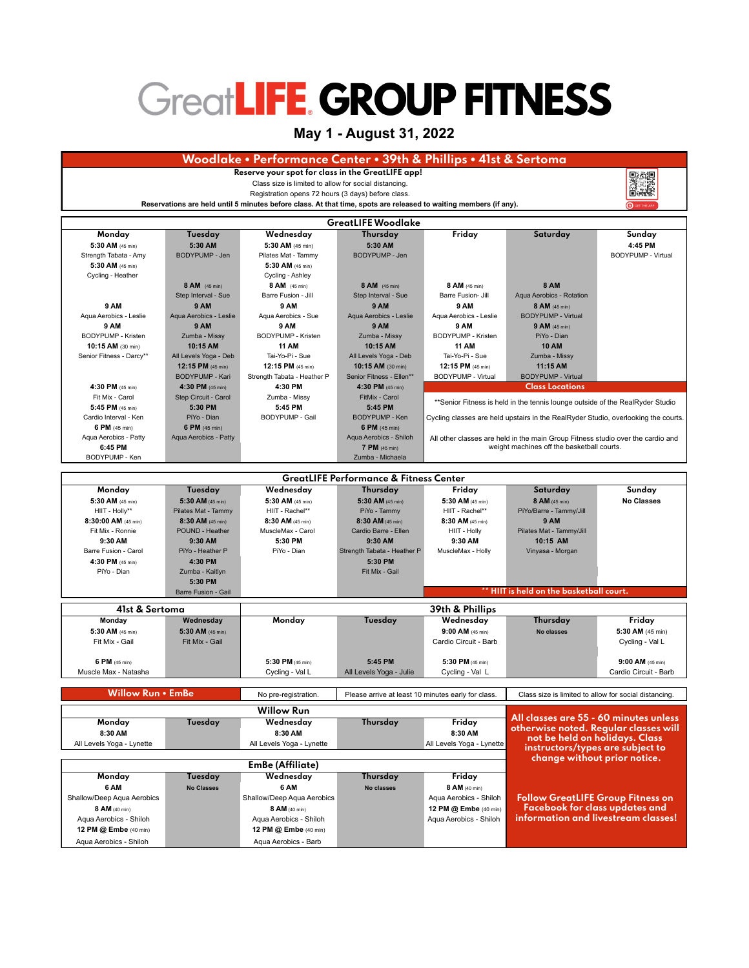## **GreatLIFE GROUP FITNESS**

## **May 1 - August 31, 2022**

| Woodlake • Performance Center • 39th & Phillips • 41st & Sertoma |                                    |                                                                                                                   |                                                    |                                                                                    |                                                                                 |                            |
|------------------------------------------------------------------|------------------------------------|-------------------------------------------------------------------------------------------------------------------|----------------------------------------------------|------------------------------------------------------------------------------------|---------------------------------------------------------------------------------|----------------------------|
| Reserve your spot for class in the GreatLIFE app!<br>oxao        |                                    |                                                                                                                   |                                                    |                                                                                    |                                                                                 |                            |
| Class size is limited to allow for social distancing.            |                                    |                                                                                                                   |                                                    |                                                                                    |                                                                                 |                            |
| Registration opens 72 hours (3 days) before class.               |                                    |                                                                                                                   |                                                    |                                                                                    |                                                                                 | 口语型                        |
|                                                                  |                                    | Reservations are held until 5 minutes before class. At that time, spots are released to waiting members (if any). |                                                    |                                                                                    |                                                                                 |                            |
| <b>GreatLIFE Woodlake</b>                                        |                                    |                                                                                                                   |                                                    |                                                                                    |                                                                                 |                            |
| Monday                                                           | Tuesday                            | Wednesday                                                                                                         | Thursday                                           | Friday                                                                             | Saturday                                                                        | Sunday                     |
| 5:30 AM (45 min)                                                 | 5:30 AM                            | 5:30 AM (45 min)                                                                                                  | 5:30 AM                                            |                                                                                    |                                                                                 | 4:45 PM                    |
| Strength Tabata - Amy                                            | BODYPUMP - Jen                     | Pilates Mat - Tammy                                                                                               | <b>BODYPUMP - Jen</b>                              |                                                                                    |                                                                                 | <b>BODYPUMP - Virtual</b>  |
| 5:30 AM (45 min)<br>Cycling - Heather                            |                                    | 5:30 AM (45 min)<br>Cycling - Ashley                                                                              |                                                    |                                                                                    |                                                                                 |                            |
|                                                                  | 8 AM (45 min)                      | 8 AM (45 min)                                                                                                     | 8 AM (45 min)                                      | 8 AM (45 min)                                                                      | <b>8 AM</b>                                                                     |                            |
|                                                                  | Step Interval - Sue                | Barre Fusion - Jill                                                                                               | Step Interval - Sue                                | Barre Fusion- Jill                                                                 | Aqua Aerobics - Rotation                                                        |                            |
| <b>9 AM</b>                                                      | 9 AM                               | 9 AM                                                                                                              | <b>9 AM</b>                                        | <b>9 AM</b>                                                                        | 8 AM (45 min)                                                                   |                            |
| Aqua Aerobics - Leslie                                           | Aqua Aerobics - Leslie             | Aqua Aerobics - Sue                                                                                               | Aqua Aerobics - Leslie                             | Aqua Aerobics - Leslie                                                             | <b>BODYPUMP - Virtual</b>                                                       |                            |
| <b>9 AM</b><br>BODYPUMP - Kristen                                | 9 AM<br>Zumba - Missy              | 9 AM<br>BODYPUMP - Kristen                                                                                        | 9 AM<br>Zumba - Missy                              | 9 AM<br>BODYPUMP - Kristen                                                         | 9 AM (45 min)<br>PiYo - Dian                                                    |                            |
| 10:15 AM (30 min)                                                | 10:15 AM                           | <b>11 AM</b>                                                                                                      | 10:15 AM                                           | <b>11 AM</b>                                                                       | <b>10 AM</b>                                                                    |                            |
| Senior Fitness - Darcy**                                         | All Levels Yoga - Deb              | Tai-Yo-Pi - Sue                                                                                                   | All Levels Yoga - Deb                              | Tai-Yo-Pi - Sue                                                                    | Zumba - Missy                                                                   |                            |
|                                                                  | 12:15 PM (45 min)                  | 12:15 PM (45 min)                                                                                                 | 10:15 AM (30 min)                                  | 12:15 PM (45 min)                                                                  | 11:15 AM                                                                        |                            |
|                                                                  | BODYPUMP - Kari                    | Strength Tabata - Heather P                                                                                       | Senior Fitness - Ellen**                           | <b>BODYPUMP - Virtual</b>                                                          | <b>BODYPUMP - Virtual</b>                                                       |                            |
| 4:30 PM (45 min)                                                 | 4:30 PM (45 min)                   | 4:30 PM                                                                                                           | 4:30 PM (45 min)                                   | <b>Class Locations</b>                                                             |                                                                                 |                            |
| Fit Mix - Carol<br>5:45 PM (45 min)                              | Step Circuit - Carol<br>5:30 PM    | Zumba - Missy<br>5:45 PM                                                                                          | FitMix - Carol<br>5:45 PM                          | **Senior Fitness is held in the tennis lounge outside of the RealRyder Studio      |                                                                                 |                            |
| Cardio Interval - Ken                                            | PiYo - Dian                        | <b>BODYPUMP - Gail</b>                                                                                            | <b>BODYPUMP - Ken</b>                              | Cycling classes are held upstairs in the RealRyder Studio, overlooking the courts. |                                                                                 |                            |
| 6 PM (45 min)                                                    | 6 PM (45 min)                      |                                                                                                                   | 6 PM (45 min)                                      |                                                                                    |                                                                                 |                            |
| Aqua Aerobics - Patty                                            | Aqua Aerobics - Patty              |                                                                                                                   | Aqua Aerobics - Shiloh                             | All other classes are held in the main Group Fitness studio over the cardio and    |                                                                                 |                            |
| 6:45 PM                                                          |                                    |                                                                                                                   | 7 PM (45 min)                                      | weight machines off the basketball courts.                                         |                                                                                 |                            |
| Zumba - Michaela<br>BODYPUMP - Ken                               |                                    |                                                                                                                   |                                                    |                                                                                    |                                                                                 |                            |
| <b>GreatLIFE Performance &amp; Fitness Center</b>                |                                    |                                                                                                                   |                                                    |                                                                                    |                                                                                 |                            |
| Monday                                                           | Tuesday                            | Wednesday                                                                                                         | Thursday                                           | Friday                                                                             | Saturday                                                                        | Sunday                     |
| 5:30 AM (45 min)                                                 | 5:30 AM (45 min)                   | 5:30 AM (45 min)                                                                                                  | 5:30 AM $(45 \text{ min})$                         | 5:30 AM (45 min)                                                                   | 8 AM (45 min)                                                                   | <b>No Classes</b>          |
| HIIT - Holly**                                                   | Pilates Mat - Tammy                | HIIT - Rachel**                                                                                                   | PiYo - Tammy                                       | HIIT - Rachel**                                                                    | PiYo/Barre - Tammy/Jill                                                         |                            |
| 8:30:00 AM (45 min)                                              | $8:30$ AM (45 min)                 | 8:30 AM (45 min)                                                                                                  | 8:30 AM (45 min)                                   | 8:30 AM (45 min)                                                                   | <b>9 AM</b>                                                                     |                            |
| Fit Mix - Ronnie<br>9:30 AM                                      | POUND - Heather<br>9:30 AM         | MuscleMax - Carol<br>5:30 PM                                                                                      | Cardio Barre - Ellen<br>9:30 AM                    | HIIT - Holly<br>9:30 AM                                                            | Pilates Mat - Tammy/Jill<br>10:15 AM                                            |                            |
| Barre Fusion - Carol                                             | PiYo - Heather P                   | PiYo - Dian                                                                                                       | Strength Tabata - Heather P                        | MuscleMax - Holly                                                                  | Vinyasa - Morgan                                                                |                            |
| 4:30 PM (45 min)                                                 | 4:30 PM                            |                                                                                                                   | 5:30 PM                                            |                                                                                    |                                                                                 |                            |
| PiYo - Dian                                                      | Zumba - Kaitlyn                    |                                                                                                                   | Fit Mix - Gail                                     |                                                                                    |                                                                                 |                            |
|                                                                  | 5:30 PM                            |                                                                                                                   |                                                    |                                                                                    |                                                                                 |                            |
| HIIT is held on the basketball court.<br>Barre Fusion - Gail     |                                    |                                                                                                                   |                                                    |                                                                                    |                                                                                 |                            |
| 41st & Sertoma                                                   |                                    |                                                                                                                   |                                                    | 39th & Phillips                                                                    |                                                                                 |                            |
| Monday                                                           | Wednesday                          | Monday                                                                                                            | Tuesday                                            | Wednesday                                                                          | Thursday                                                                        | Friday                     |
| 5:30 AM (45 min)<br>Fit Mix - Gail                               | 5:30 AM (45 min)<br>Fit Mix - Gail |                                                                                                                   |                                                    | $9:00$ AM (45 min)<br>Cardio Circuit - Barb                                        | <b>No classes</b>                                                               | 5:30 AM $(45 \text{ min})$ |
|                                                                  |                                    |                                                                                                                   |                                                    |                                                                                    |                                                                                 | Cycling - Val L            |
| 6 PM $(45 min)$                                                  |                                    | 5:30 PM (45 min)                                                                                                  | 5:45 PM                                            | 5:30 PM (45 min)                                                                   |                                                                                 | $9:00$ AM (45 min)         |
| Muscle Max - Natasha                                             |                                    | Cycling - Val L                                                                                                   | All Levels Yoga - Julie                            | Cycling - Val L                                                                    |                                                                                 | Cardio Circuit - Barb      |
|                                                                  |                                    |                                                                                                                   |                                                    |                                                                                    |                                                                                 |                            |
| Willow Run • EmBe                                                |                                    | No pre-registration.                                                                                              | Please arrive at least 10 minutes early for class. |                                                                                    | Class size is limited to allow for social distancing                            |                            |
|                                                                  |                                    | <b>Willow Run</b>                                                                                                 |                                                    |                                                                                    |                                                                                 |                            |
| Monday                                                           | Tuesday                            | Wednesday                                                                                                         | Thursday                                           | Friday                                                                             | All classes are 55 - 60 minutes unless<br>otherwise noted. Regular classes will |                            |
| 8:30 AM                                                          |                                    | 8:30 AM                                                                                                           |                                                    | 8:30 AM                                                                            | not be held on holidays. Class                                                  |                            |
| All Levels Yoga - Lynette                                        |                                    | All Levels Yoga - Lynette                                                                                         |                                                    | All Levels Yoga - Lynette                                                          | instructors/types are subject to                                                |                            |
| change without prior notice.                                     |                                    |                                                                                                                   |                                                    |                                                                                    |                                                                                 |                            |
| Monday                                                           | Tuesday                            | EmBe (Affiliate)<br>Wednesday                                                                                     | Thursday                                           | Friday                                                                             |                                                                                 |                            |
| 6 AM                                                             | <b>No Classes</b>                  | 6 AM                                                                                                              | No classes                                         | 8 AM (40 min)                                                                      |                                                                                 |                            |
| Shallow/Deep Aqua Aerobics                                       |                                    | Shallow/Deep Aqua Aerobics                                                                                        |                                                    | Aqua Aerobics - Shiloh                                                             | <b>Follow GreatLIFE Group Fitness on</b>                                        |                            |
| 8 AM (40 min)                                                    |                                    | 8 AM (40 min)                                                                                                     |                                                    | 12 PM @ Embe (40 min)                                                              | Facebook for class updates and                                                  |                            |
| Aqua Aerobics - Shiloh                                           |                                    | Aqua Aerobics - Shiloh                                                                                            |                                                    | Aqua Aerobics - Shiloh                                                             | information and livestream classes!                                             |                            |
| 12 PM @ Embe (40 min)                                            |                                    | 12 PM @ Embe (40 min)                                                                                             |                                                    |                                                                                    |                                                                                 |                            |
| Aqua Aerobics - Shiloh                                           |                                    | Aqua Aerobics - Barb                                                                                              |                                                    |                                                                                    |                                                                                 |                            |
|                                                                  |                                    |                                                                                                                   |                                                    |                                                                                    |                                                                                 |                            |